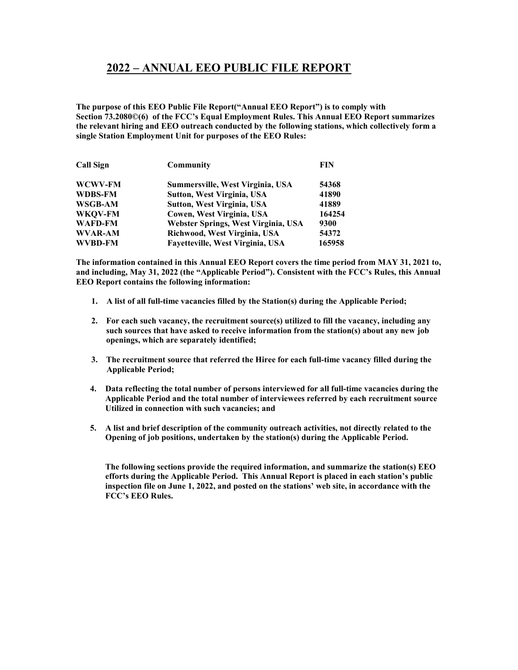## 2022 – ANNUAL EEO PUBLIC FILE REPORT

The purpose of this EEO Public File Report("Annual EEO Report") is to comply with Section 73.2080©(6) of the FCC's Equal Employment Rules. This Annual EEO Report summarizes the relevant hiring and EEO outreach conducted by the following stations, which collectively form a single Station Employment Unit for purposes of the EEO Rules:

| <b>Call Sign</b> | Community                           | <b>FIN</b> |
|------------------|-------------------------------------|------------|
| WCWV-FM          | Summersville, West Virginia, USA    | 54368      |
| <b>WDBS-FM</b>   | <b>Sutton, West Virginia, USA</b>   | 41890      |
| WSGB-AM          | <b>Sutton, West Virginia, USA</b>   | 41889      |
| WKOV-FM          | Cowen, West Virginia, USA           | 164254     |
| <b>WAFD-FM</b>   | Webster Springs, West Virginia, USA | 9300       |
| <b>WVAR-AM</b>   | Richwood, West Virginia, USA        | 54372      |
| <b>WVBD-FM</b>   | Fayetteville, West Virginia, USA    | 165958     |

The information contained in this Annual EEO Report covers the time period from MAY 31, 2021 to, and including, May 31, 2022 (the "Applicable Period"). Consistent with the FCC's Rules, this Annual EEO Report contains the following information:

- 1. A list of all full-time vacancies filled by the Station(s) during the Applicable Period;
- 2. For each such vacancy, the recruitment source(s) utilized to fill the vacancy, including any such sources that have asked to receive information from the station(s) about any new job openings, which are separately identified;
- 3. The recruitment source that referred the Hiree for each full-time vacancy filled during the Applicable Period;
- 4. Data reflecting the total number of persons interviewed for all full-time vacancies during the Applicable Period and the total number of interviewees referred by each recruitment source Utilized in connection with such vacancies; and
- 5. A list and brief description of the community outreach activities, not directly related to the Opening of job positions, undertaken by the station(s) during the Applicable Period.

The following sections provide the required information, and summarize the station(s) EEO efforts during the Applicable Period. This Annual Report is placed in each station's public inspection file on June 1, 2022, and posted on the stations' web site, in accordance with the FCC's EEO Rules.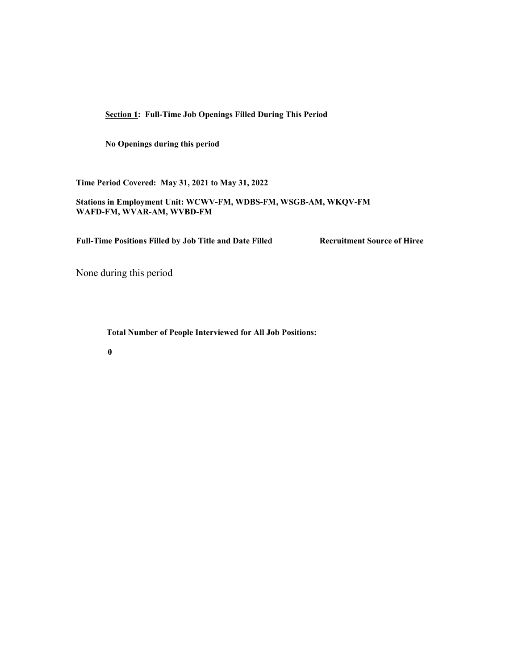Section 1: Full-Time Job Openings Filled During This Period

No Openings during this period

Time Period Covered: May 31, 2021 to May 31, 2022

Stations in Employment Unit: WCWV-FM, WDBS-FM, WSGB-AM, WKQV-FM WAFD-FM, WVAR-AM, WVBD-FM

Full-Time Positions Filled by Job Title and Date Filled Recruitment Source of Hiree

None during this period

Total Number of People Interviewed for All Job Positions:

0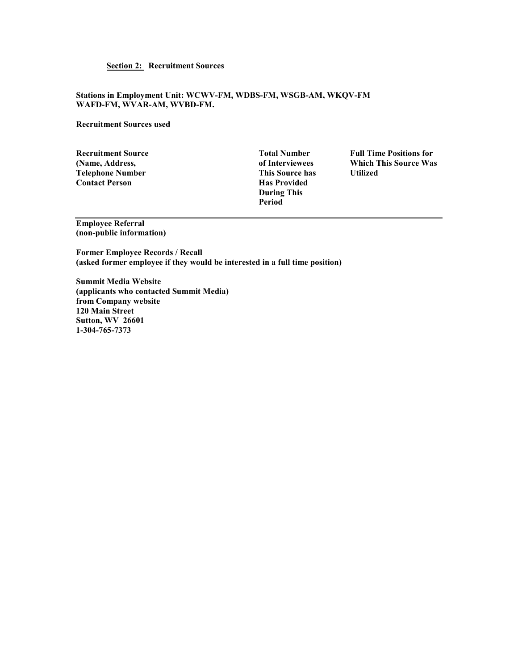## Section 2: Recruitment Sources

## Stations in Employment Unit: WCWV-FM, WDBS-FM, WSGB-AM, WKQV-FM WAFD-FM, WVAR-AM, WVBD-FM.

## Recruitment Sources used

Recruitment Source Total Number Full Time Positions for Telephone Number **Contact Person** Has Provided

 During This Period

(Name, Address,  $\begin{array}{ccc}\n\textbf{I} & \textbf{I} & \textbf{I} \\
\textbf{I} & \textbf{I} & \textbf{I} \\
\textbf{I} & \textbf{I}\n\end{array}$  (Name, Address,  $\begin{array}{ccc}\n\textbf{I} & \textbf{I} & \textbf{I} \\
\textbf{I} & \textbf{I} & \textbf{I} \\
\textbf{I} & \textbf{I}\n\end{array}$  and  $\begin{array}{ccc}\n\textbf{I} & \textbf{I} & \textbf{I} \\
\textbf{I} & \textbf{I$ 

Employee Referral (non-public information)

Former Employee Records / Recall (asked former employee if they would be interested in a full time position)

Summit Media Website (applicants who contacted Summit Media) from Company website 120 Main Street Sutton, WV 26601 1-304-765-7373